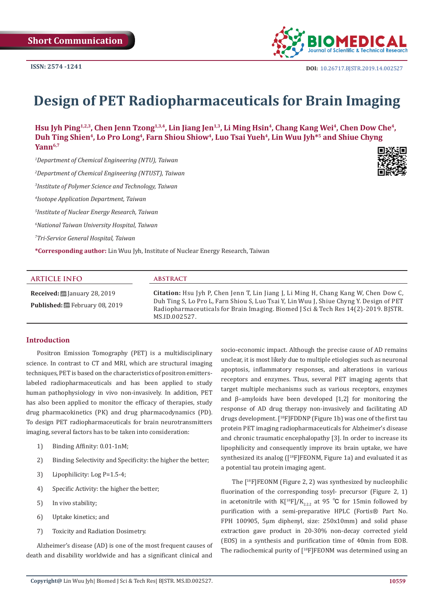

# **Design of PET Radiopharmaceuticals for Brain Imaging**

Hsu Jyh Ping<sup>1,2,3</sup>, Chen Jenn Tzong<sup>1,3,4</sup>, Lin Jiang Jen<sup>1,3</sup>, Li Ming Hsin<sup>4</sup>, Chang Kang Wei<sup>4</sup>, Chen Dow Che<sup>4</sup>, Duh Ting Shien<sup>4</sup>, Lo Pro Long<sup>4</sup>, Farn Shiou Shiow<sup>4</sup>, Luo Tsai Yueh<sup>4</sup>, Lin Wuu Jyh<sup>\*5</sup> and Shiue Chyng **Yann6,7**

*1 Department of Chemical Engineering (NTU), Taiwan* 

*2 Department of Chemical Engineering (NTUST), Taiwan* 

*3 Institute of Polymer Science and Technology, Taiwan*

*4 Isotope Application Department, Taiwan* 

*5 Institute of Nuclear Energy Research, Taiwan* 

*6 National Taiwan University Hospital, Taiwan* 

*7 Tri-Service General Hospital, Taiwan* 

Published: **■**February 08, 2019

**\*Corresponding author:** Lin Wuu Jyh, Institute of Nuclear Energy Research, Taiwan

| ARTICLE INFO                                   | <b>ABSTRACT</b>                                                                                                                                                |
|------------------------------------------------|----------------------------------------------------------------------------------------------------------------------------------------------------------------|
| <b>Received:</b> $\ddot{\Xi}$ January 28, 2019 | <b>Citation:</b> Hsu Jyh P, Chen Jenn T, Lin Jiang J, Li Ming H, Chang Kang W, Chen Dow C,<br>plm: at ptp al: at mitter tut tal: al<br>$c_{\rm D}$ $m_{\rm F}$ |

Duh Ting S, Lo Pro L, Farn Shiou S, Luo Tsai Y, Lin Wuu J, Shiue Chyng Y. Design of PET Radiopharmaceuticals for Brain Imaging. Biomed J Sci & Tech Res 14(2)-2019. BJSTR. MS.ID.002527.

#### **Introduction**

Positron Emission Tomography (PET) is a multidisciplinary science. In contrast to CT and MRI, which are structural imaging techniques, PET is based on the characteristics of positron emitterslabeled radiopharmaceuticals and has been applied to study human pathophysiology in vivo non-invasively. In addition, PET has also been applied to monitor the efficacy of therapies, study drug pharmacokinetics (PK) and drug pharmacodynamics (PD). To design PET radiopharmaceuticals for brain neurotransmitters imaging, several factors has to be taken into consideration:

- 1) Binding Affinity: 0.01-1nM;
- 2) Binding Selectivity and Specificity: the higher the better;
- 3) Lipophilicity: Log P=1.5-4;
- 4) Specific Activity: the higher the better;
- 5) In vivo stability;
- 6) Uptake kinetics; and
- 7) Toxicity and Radiation Dosimetry.

Alzheimer's disease (AD) is one of the most frequent causes of death and disability worldwide and has a significant clinical and

socio-economic impact. Although the precise cause of AD remains unclear, it is most likely due to multiple etiologies such as neuronal apoptosis, inflammatory responses, and alterations in various receptors and enzymes. Thus, several PET imaging agents that target multiple mechanisms such as various receptors, enzymes and β–amyloids have been developed [1,2] for monitoring the response of AD drug therapy non-invasively and facilitating AD drugs development. [<sup>18</sup>F]FDDNP (Figure 1b) was one of the first tau protein PET imaging radiopharmaceuticals for Alzheimer's disease and chronic traumatic encephalopathy [3]. In order to increase its lipophilicity and consequently improve its brain uptake, we have synthesized its analog ([<sup>18</sup>F]FEONM, Figure 1a) and evaluated it as a potential tau protein imaging agent.

The [<sup>18</sup>F]FEONM (Figure 2, 2) was synthesized by nucleophilic fluorination of the corresponding tosyl- precursor (Figure 2, 1) in acetonitrile with K[<sup>18</sup>F]/K<sub>222</sub> at 95 °C for 15min followed by purification with a semi-preparative HPLC (Fortis® Part No. FPH 100905, 5μm diphenyl, size: 250x10mm) and solid phase extraction gave product in 20-30% non-decay corrected yield (EOS) in a synthesis and purification time of 40min from EOB. The radiochemical purity of [<sup>18</sup>F]FEONM was determined using an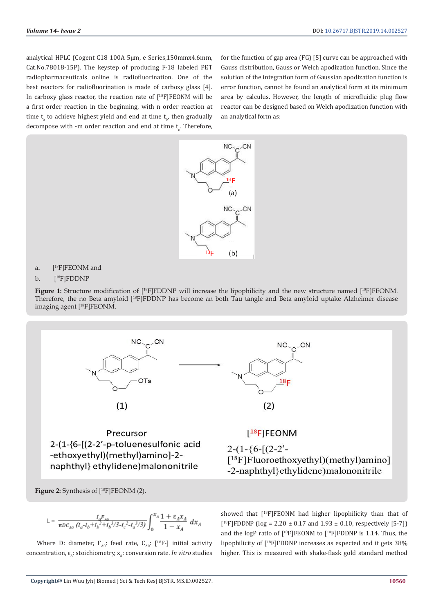analytical HPLC (Cogent C18 100A 5μm, e Series,150mmx4.6mm, Cat.No.78018-15P). The keystep of producing F-18 labeled PET radiopharmaceuticals online is radiofluorination. One of the best reactors for radiofluorination is made of carboxy glass [4]. In carboxy glass reactor, the reaction rate of  $[$ <sup>18</sup>F]FEONM will be a first order reaction in the beginning, with n order reaction at time  $t_{a}$  to achieve highest yield and end at time  $t_{b'}$ , then gradually decompose with -m order reaction and end at time  ${\rm t_c^{\scriptscriptstyle +}}$  Therefore, for the function of gap area (FG) [5] curve can be approached with Gauss distribution, Gauss or Welch apodization function. Since the solution of the integration form of Gaussian apodization function is error function, cannot be found an analytical form at its minimum area by calculus. However, the length of microfluidic plug flow reactor can be designed based on Welch apodization function with an analytical form as:



**a.** [ [<sup>18</sup>F]FEONM and

#### b. [18F]FDDNP

Figure 1: Structure modification of [<sup>18</sup>F]FDDNP will increase the lipophilicity and the new structure named [<sup>18</sup>F]FEONM. Therefore, the no Beta amyloid [<sup>18</sup>F]FDDNP has become an both Tau tangle and Beta amyloid uptake Alzheimer disease imaging agent [18F]FEONM.



**Figure 2:** Synthesis of [<sup>18</sup>F]FEONM (2).

$$
L = \frac{t_a r_{a0}}{\pi D C_{A0} (t_a - t_b + t_b^2 + t_b^3/3 - t_c^2 - t_a^3/3)} \int_0^{x_A} \frac{1 + \varepsilon_A x_A}{1 - x_A} dx_A
$$

Where D: diameter,  $F_{A0}$ : feed rate,  $C_{A0}$ : [<sup>18</sup>F-] initial activity concentration, ε<sub>λ</sub>: stoichiometry, x<sub>λ</sub>: conversion rate. *In vitro* studies showed that [<sup>18</sup>F]FEONM had higher lipophilicity than that of  $[$ <sup>18</sup>F]FDDNP ( $log = 2.20 \pm 0.17$  and  $1.93 \pm 0.10$ , respectively [5-7]) and the logP ratio of  $[$ <sup>18</sup>F]FEONM to  $[$ <sup>18</sup>F]FDDNP is 1.14. Thus, the lipophilicity of [<sup>18</sup>F]FDDNP increases as expected and it gets 38% higher. This is measured with shake-flask gold standard method